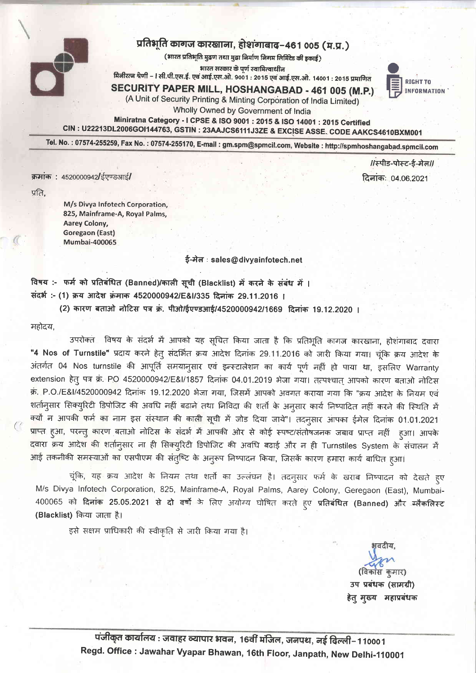

## प्रतिभूति कागज कारखाना, होशगाबाद-461 005 (म.प्र.)

(भारत प्रतिभूति मुद्रण तथा मुद्रा निर्माण निगम लिमिटेड की इकाई)

भारत सरकार के पर्ण स्वामित्वाधीन

मिनीरत्न श्रेणी – I सी.पी.एस.ई. एवं आई.एस.ओ. 9001 : 2015 एवं आई.एस.ओ. 14001 : 2015 प्रमाणित

SECURITY PAPER MILL, HOSHANGABAD - 461 005 (M.P.) (A Unit of Security Printing & Minting Corporation of India Limited)



Wholly Owned by Government of India

Miniratna Category - I CPSE & ISO 9001 : 2015 & ISO 14001 : 2015 Certified CIN : U22213DL2006GOI144763, GSTIN : 23AAJCS6111J3ZE & EXCISE ASSE. CODE AAKCS4610BXM001

Tel. No.: 07574-255259, Fax No.: 07574-255170, E-mail: gm.spm@spmcil.com, Website: http://spmhoshangabad.spmcil.com

क्रमांक: 4520000942/ईएण्डआई/

1/स्पीड-पोस्ट-ई-मेल/ दिनाकः 04.06.2021

प्रति.

M/s Divya Infotech Corporation, 825, Mainframe-A, Royal Palms, Aarey Colony, **Goregaon (East) Mumbai-400065** 

ई-मेल: sales@divyainfotech.net

विषय :- फर्म को प्रतिबंधित (Banned)/काली सूची (Blacklist) में करने के संबंध में । संदर्भ:- (1) क्रय आदेश क्रमाक 4520000942/E&I/335 दिनांक 29.11.2016 ।

(2) कारण बताओ नोटिस पत्र क्रं. पीओ/ईएण्डआई/4520000942/1669 दिनांक 19.12.2020 ।

महोदय,

उपरोक्त विषय के संदर्भ में आपको यह सूचित किया जाता है कि प्रतिभूति कागज कारखाना, होशंगाबाद दवारा "4 Nos of Turnstile" प्रदाय करने हेत् संदर्भित क्रय आदेश दिनांक 29.11.2016 को जारी किया गया। चुंकि क्रय आदेश के अंतर्गत 04 Nos turnstile की आपूर्ति समयान्**सार एवं इन्स्टालेशन का कार्य पूर्ण नहीं** हो पाया था, इसलिए Warranty extension हेतु पत्र क्र. PO 4520000942/E&I/1857 दिनांक 04.01.2019 भेजा गया। तत्पश्चात आपको कारण बताओ नोटिस क्र. P.O./E&I/4520000942 दिनांक 19.12.2020 भेजा गया, जिसमें आपको अवगत कराया गया कि "क्रय आदेश के नियम एवं शर्तान्**सार सिक्य्**रिटी डिपोजिट की अवधि नहीं बढाने तथा निविदा की शर्तो के अनुसार कार्य निष्पादित नहीं करने की स्थिति में क्यों न आपकी फर्म का नाम इस संस्थान की काली सूची में जोड़ दिया जाये"। तदनुसार आपका ईमेल दिनांक 01.01.2021 प्राप्त हुआ, परन्तु कारण बताओ नोटिस के संदर्भ में आपकी ओर से कोई स्पष्ट/संतोषजनक जबाव प्राप्त नहीं हुआ। आपके दवारा क्रय आदेश की शर्तानुसार ना ही सिक्युरिटी डिपोजिट की अवधि बढाई और न ही Turnstiles System के संचालन में आई तकनीकी समस्याओं का एसपीएम की संतुष्टि के अनुरूप निष्पादन किया, जिसकें कारण हमारा कार्य बाधित हुआ।

चूंकि, यह क्रय आदेश के नियम तथा शर्तो का उल्लंघन है। तदनुसार फर्म के खराब निष्पादन को देखते हुए M/s Divya Infotech Corporation, 825, Mainframe-A, Royal Palms, Aarey Colony, Geregaon (East), Mumbai-400065 को दिनांक 25.05.2021 से दो वर्षों के लिए अयोग्य घोषित करते हुए प्रतिबंधित (Banned) और स्लैकलिस्ट (Blacklist) किया जाता है।

इसे सक्षम प्राधिकारी की स्वीकृति से जारी किया गया है।

ਮਰਨੀਧ (विकास कुमार) उप प्रबंधक (सामग्री) हेत् मुख्य महाप्रबंधक

पंजीकृत कार्यालय : जवाहर व्यापार भवन, 16वीं मंजिल, जनपथ, नई दिल्ली–110001 Regd. Office: Jawahar Vyapar Bhawan, 16th Floor, Janpath, New Delhi-110001